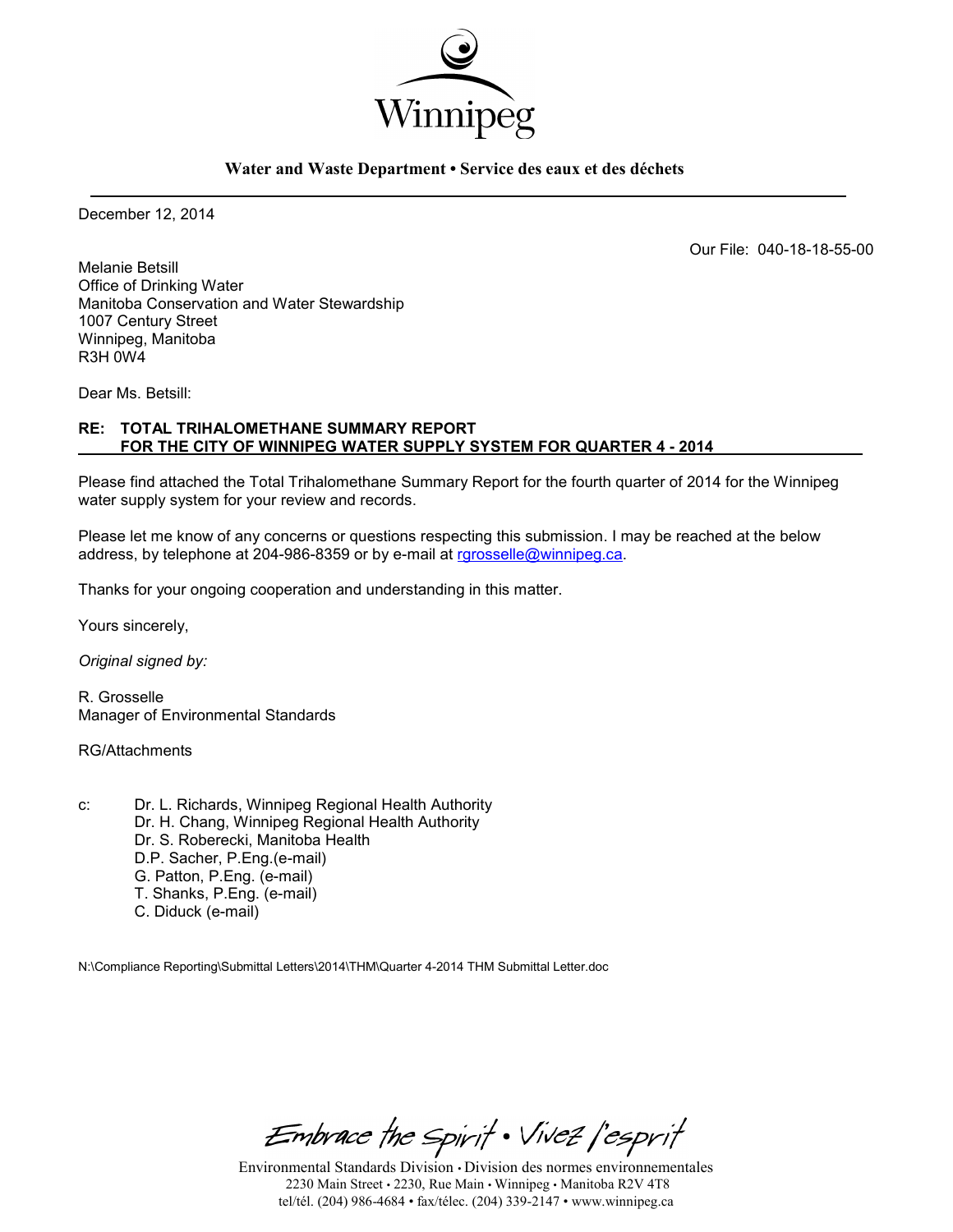

#### **Water and Waste Department • Service des eaux et des déchets**

December 12, 2014

Our File: 040-18-18-55-00

Melanie Betsill Office of Drinking Water Manitoba Conservation and Water Stewardship 1007 Century Street Winnipeg, Manitoba R3H 0W4

Dear Ms. Betsill:

### **RE: TOTAL TRIHALOMETHANE SUMMARY REPORT FOR THE CITY OF WINNIPEG WATER SUPPLY SYSTEM FOR QUARTER 4 - 2014**

Please find attached the Total Trihalomethane Summary Report for the fourth quarter of 2014 for the Winnipeg water supply system for your review and records.

Please let me know of any concerns or questions respecting this submission. I may be reached at the below address, by telephone at 204-986-8359 or by e-mail at [rgrosselle@winnipeg.ca.](mailto:rgrosselle@winnipeg.ca)

Thanks for your ongoing cooperation and understanding in this matter.

Yours sincerely,

*Original signed by:* 

R. Grosselle Manager of Environmental Standards

RG/Attachments

c: Dr. L. Richards, Winnipeg Regional Health Authority Dr. H. Chang, Winnipeg Regional Health Authority Dr. S. Roberecki, Manitoba Health D.P. Sacher, P.Eng.(e-mail) G. Patton, P.Eng. (e-mail) T. Shanks, P.Eng. (e-mail) C. Diduck (e-mail)

N:\Compliance Reporting\Submittal Letters\2014\THM\Quarter 4-2014 THM Submittal Letter.doc

Embrace the Spirit . Vivez l'esprit

Environmental Standards Division • Division des normes environnementales 2230 Main Street • 2230, Rue Main • Winnipeg • Manitoba R2V 4T8 tel/tél. (204) 986-4684 • fax/télec. (204) 339-2147 • www.winnipeg.ca